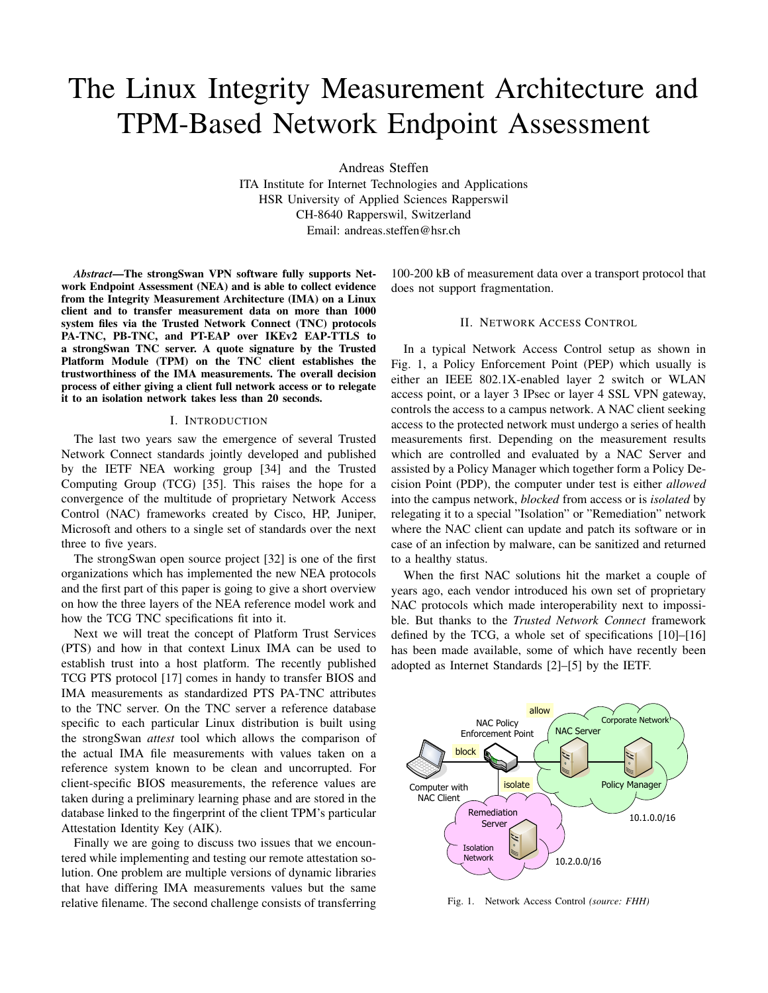# The Linux Integrity Measurement Architecture and TPM-Based Network Endpoint Assessment

Andreas Steffen

ITA Institute for Internet Technologies and Applications HSR University of Applied Sciences Rapperswil CH-8640 Rapperswil, Switzerland Email: andreas.steffen@hsr.ch

*Abstract*—The strongSwan VPN software fully supports Network Endpoint Assessment (NEA) and is able to collect evidence from the Integrity Measurement Architecture (IMA) on a Linux client and to transfer measurement data on more than 1000 system files via the Trusted Network Connect (TNC) protocols PA-TNC, PB-TNC, and PT-EAP over IKEv2 EAP-TTLS to a strongSwan TNC server. A quote signature by the Trusted Platform Module (TPM) on the TNC client establishes the trustworthiness of the IMA measurements. The overall decision process of either giving a client full network access or to relegate it to an isolation network takes less than 20 seconds.

## I. INTRODUCTION

The last two years saw the emergence of several Trusted Network Connect standards jointly developed and published by the IETF NEA working group [34] and the Trusted Computing Group (TCG) [35]. This raises the hope for a convergence of the multitude of proprietary Network Access Control (NAC) frameworks created by Cisco, HP, Juniper, Microsoft and others to a single set of standards over the next three to five years.

The strongSwan open source project [32] is one of the first organizations which has implemented the new NEA protocols and the first part of this paper is going to give a short overview on how the three layers of the NEA reference model work and how the TCG TNC specifications fit into it.

Next we will treat the concept of Platform Trust Services (PTS) and how in that context Linux IMA can be used to establish trust into a host platform. The recently published TCG PTS protocol [17] comes in handy to transfer BIOS and IMA measurements as standardized PTS PA-TNC attributes to the TNC server. On the TNC server a reference database specific to each particular Linux distribution is built using the strongSwan *attest* tool which allows the comparison of the actual IMA file measurements with values taken on a reference system known to be clean and uncorrupted. For client-specific BIOS measurements, the reference values are taken during a preliminary learning phase and are stored in the database linked to the fingerprint of the client TPM's particular Attestation Identity Key (AIK).

Finally we are going to discuss two issues that we encountered while implementing and testing our remote attestation solution. One problem are multiple versions of dynamic libraries that have differing IMA measurements values but the same relative filename. The second challenge consists of transferring 100-200 kB of measurement data over a transport protocol that does not support fragmentation.

# II. NETWORK ACCESS CONTROL

In a typical Network Access Control setup as shown in Fig. 1, a Policy Enforcement Point (PEP) which usually is either an IEEE 802.1X-enabled layer 2 switch or WLAN access point, or a layer 3 IPsec or layer 4 SSL VPN gateway, controls the access to a campus network. A NAC client seeking access to the protected network must undergo a series of health measurements first. Depending on the measurement results which are controlled and evaluated by a NAC Server and assisted by a Policy Manager which together form a Policy Decision Point (PDP), the computer under test is either *allowed* into the campus network, *blocked* from access or is *isolated* by relegating it to a special "Isolation" or "Remediation" network where the NAC client can update and patch its software or in case of an infection by malware, can be sanitized and returned to a healthy status.

When the first NAC solutions hit the market a couple of years ago, each vendor introduced his own set of proprietary NAC protocols which made interoperability next to impossible. But thanks to the *Trusted Network Connect* framework defined by the TCG, a whole set of specifications [10]–[16] has been made available, some of which have recently been adopted as Internet Standards [2]–[5] by the IETF.



Fig. 1. Network Access Control *(source: FHH)*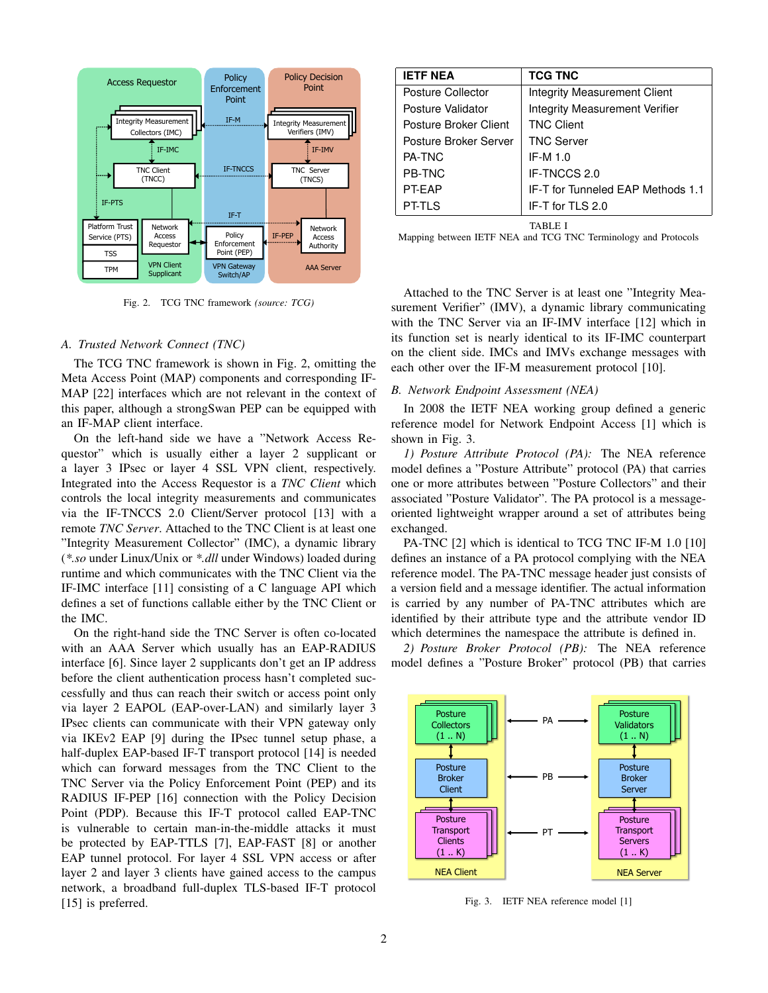

Fig. 2. TCG TNC framework *(source: TCG)*

# *A. Trusted Network Connect (TNC)*

The TCG TNC framework is shown in Fig. 2, omitting the Meta Access Point (MAP) components and corresponding IF-MAP [22] interfaces which are not relevant in the context of this paper, although a strongSwan PEP can be equipped with an IF-MAP client interface.

On the left-hand side we have a "Network Access Requestor" which is usually either a layer 2 supplicant or a layer 3 IPsec or layer 4 SSL VPN client, respectively. Integrated into the Access Requestor is a *TNC Client* which controls the local integrity measurements and communicates via the IF-TNCCS 2.0 Client/Server protocol [13] with a remote *TNC Server*. Attached to the TNC Client is at least one "Integrity Measurement Collector" (IMC), a dynamic library (*\*.so* under Linux/Unix or *\*.dll* under Windows) loaded during runtime and which communicates with the TNC Client via the IF-IMC interface [11] consisting of a C language API which defines a set of functions callable either by the TNC Client or the IMC.

On the right-hand side the TNC Server is often co-located with an AAA Server which usually has an EAP-RADIUS interface [6]. Since layer 2 supplicants don't get an IP address before the client authentication process hasn't completed successfully and thus can reach their switch or access point only via layer 2 EAPOL (EAP-over-LAN) and similarly layer 3 IPsec clients can communicate with their VPN gateway only via IKEv2 EAP [9] during the IPsec tunnel setup phase, a half-duplex EAP-based IF-T transport protocol [14] is needed which can forward messages from the TNC Client to the TNC Server via the Policy Enforcement Point (PEP) and its RADIUS IF-PEP [16] connection with the Policy Decision Point (PDP). Because this IF-T protocol called EAP-TNC is vulnerable to certain man-in-the-middle attacks it must be protected by EAP-TTLS [7], EAP-FAST [8] or another EAP tunnel protocol. For layer 4 SSL VPN access or after layer 2 and layer 3 clients have gained access to the campus network, a broadband full-duplex TLS-based IF-T protocol [15] is preferred.

| <b>IETF NEA</b>       | <b>TCG TNC</b>                        |
|-----------------------|---------------------------------------|
| Posture Collector     | Integrity Measurement Client          |
| Posture Validator     | <b>Integrity Measurement Verifier</b> |
| Posture Broker Client | <b>TNC Client</b>                     |
| Posture Broker Server | <b>TNC Server</b>                     |
| PA-TNC                | IF-M $1.0$                            |
| <b>PB-TNC</b>         | IF-TNCCS 2.0                          |
| PT-FAP                | IF-T for Tunneled EAP Methods 1.1     |
| PT-TLS                | IF-T for TLS 2.0                      |
|                       | TARLE I                               |

Mapping between IETF NEA and TCG TNC Terminology and Protocols

Attached to the TNC Server is at least one "Integrity Measurement Verifier" (IMV), a dynamic library communicating with the TNC Server via an IF-IMV interface [12] which in its function set is nearly identical to its IF-IMC counterpart on the client side. IMCs and IMVs exchange messages with each other over the IF-M measurement protocol [10].

#### *B. Network Endpoint Assessment (NEA)*

In 2008 the IETF NEA working group defined a generic reference model for Network Endpoint Access [1] which is shown in Fig. 3.

*1) Posture Attribute Protocol (PA):* The NEA reference model defines a "Posture Attribute" protocol (PA) that carries one or more attributes between "Posture Collectors" and their associated "Posture Validator". The PA protocol is a messageoriented lightweight wrapper around a set of attributes being exchanged.

PA-TNC [2] which is identical to TCG TNC IF-M 1.0 [10] defines an instance of a PA protocol complying with the NEA reference model. The PA-TNC message header just consists of a version field and a message identifier. The actual information is carried by any number of PA-TNC attributes which are identified by their attribute type and the attribute vendor ID which determines the namespace the attribute is defined in.

*2) Posture Broker Protocol (PB):* The NEA reference model defines a "Posture Broker" protocol (PB) that carries



Fig. 3. IETF NEA reference model [1]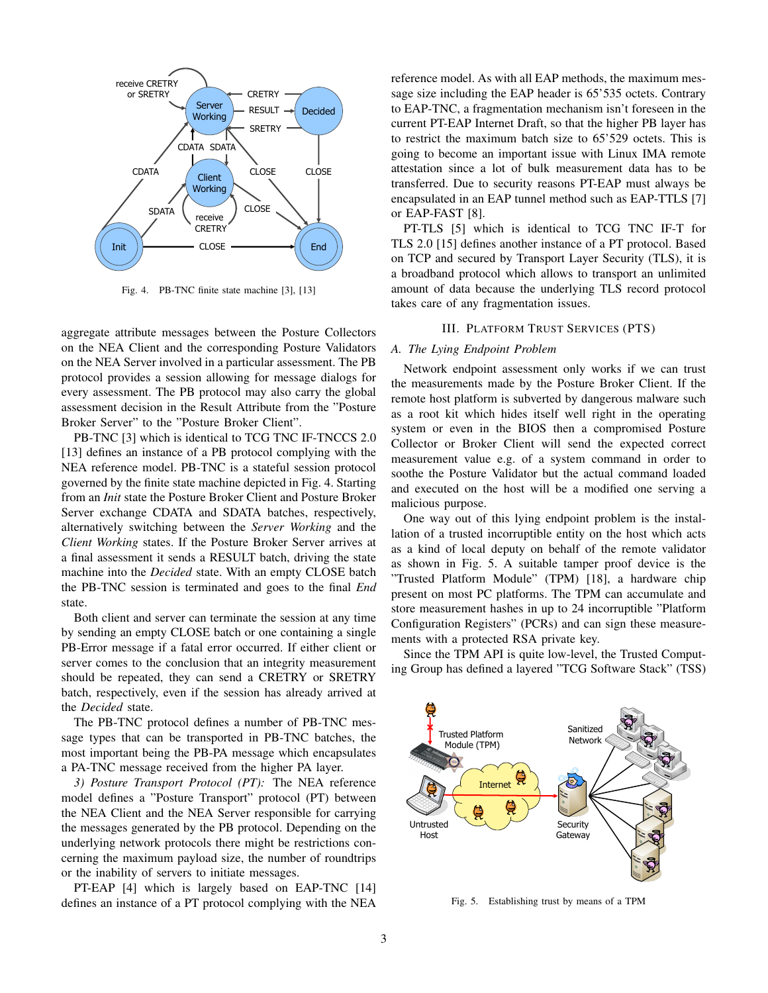

Fig. 4. PB-TNC finite state machine [3], [13]

aggregate attribute messages between the Posture Collectors on the NEA Client and the corresponding Posture Validators on the NEA Server involved in a particular assessment. The PB protocol provides a session allowing for message dialogs for every assessment. The PB protocol may also carry the global assessment decision in the Result Attribute from the "Posture Broker Server" to the "Posture Broker Client".

PB-TNC [3] which is identical to TCG TNC IF-TNCCS 2.0 [13] defines an instance of a PB protocol complying with the NEA reference model. PB-TNC is a stateful session protocol governed by the finite state machine depicted in Fig. 4. Starting from an *Init* state the Posture Broker Client and Posture Broker Server exchange CDATA and SDATA batches, respectively, alternatively switching between the *Server Working* and the *Client Working* states. If the Posture Broker Server arrives at a final assessment it sends a RESULT batch, driving the state machine into the *Decided* state. With an empty CLOSE batch the PB-TNC session is terminated and goes to the final *End* state.

Both client and server can terminate the session at any time by sending an empty CLOSE batch or one containing a single PB-Error message if a fatal error occurred. If either client or server comes to the conclusion that an integrity measurement should be repeated, they can send a CRETRY or SRETRY batch, respectively, even if the session has already arrived at the *Decided* state.

The PB-TNC protocol defines a number of PB-TNC message types that can be transported in PB-TNC batches, the most important being the PB-PA message which encapsulates a PA-TNC message received from the higher PA layer.

*3) Posture Transport Protocol (PT):* The NEA reference model defines a "Posture Transport" protocol (PT) between the NEA Client and the NEA Server responsible for carrying the messages generated by the PB protocol. Depending on the underlying network protocols there might be restrictions concerning the maximum payload size, the number of roundtrips or the inability of servers to initiate messages.

PT-EAP [4] which is largely based on EAP-TNC [14] defines an instance of a PT protocol complying with the NEA reference model. As with all EAP methods, the maximum message size including the EAP header is 65'535 octets. Contrary to EAP-TNC, a fragmentation mechanism isn't foreseen in the current PT-EAP Internet Draft, so that the higher PB layer has to restrict the maximum batch size to 65'529 octets. This is going to become an important issue with Linux IMA remote attestation since a lot of bulk measurement data has to be transferred. Due to security reasons PT-EAP must always be encapsulated in an EAP tunnel method such as EAP-TTLS [7] or EAP-FAST [8].

PT-TLS [5] which is identical to TCG TNC IF-T for TLS 2.0 [15] defines another instance of a PT protocol. Based on TCP and secured by Transport Layer Security (TLS), it is a broadband protocol which allows to transport an unlimited amount of data because the underlying TLS record protocol takes care of any fragmentation issues.

## III. PLATFORM TRUST SERVICES (PTS)

## *A. The Lying Endpoint Problem*

Network endpoint assessment only works if we can trust the measurements made by the Posture Broker Client. If the remote host platform is subverted by dangerous malware such as a root kit which hides itself well right in the operating system or even in the BIOS then a compromised Posture Collector or Broker Client will send the expected correct measurement value e.g. of a system command in order to soothe the Posture Validator but the actual command loaded and executed on the host will be a modified one serving a malicious purpose.

One way out of this lying endpoint problem is the installation of a trusted incorruptible entity on the host which acts as a kind of local deputy on behalf of the remote validator as shown in Fig. 5. A suitable tamper proof device is the "Trusted Platform Module" (TPM) [18], a hardware chip present on most PC platforms. The TPM can accumulate and store measurement hashes in up to 24 incorruptible "Platform Configuration Registers" (PCRs) and can sign these measurements with a protected RSA private key.

Since the TPM API is quite low-level, the Trusted Computing Group has defined a layered "TCG Software Stack" (TSS)



Fig. 5. Establishing trust by means of a TPM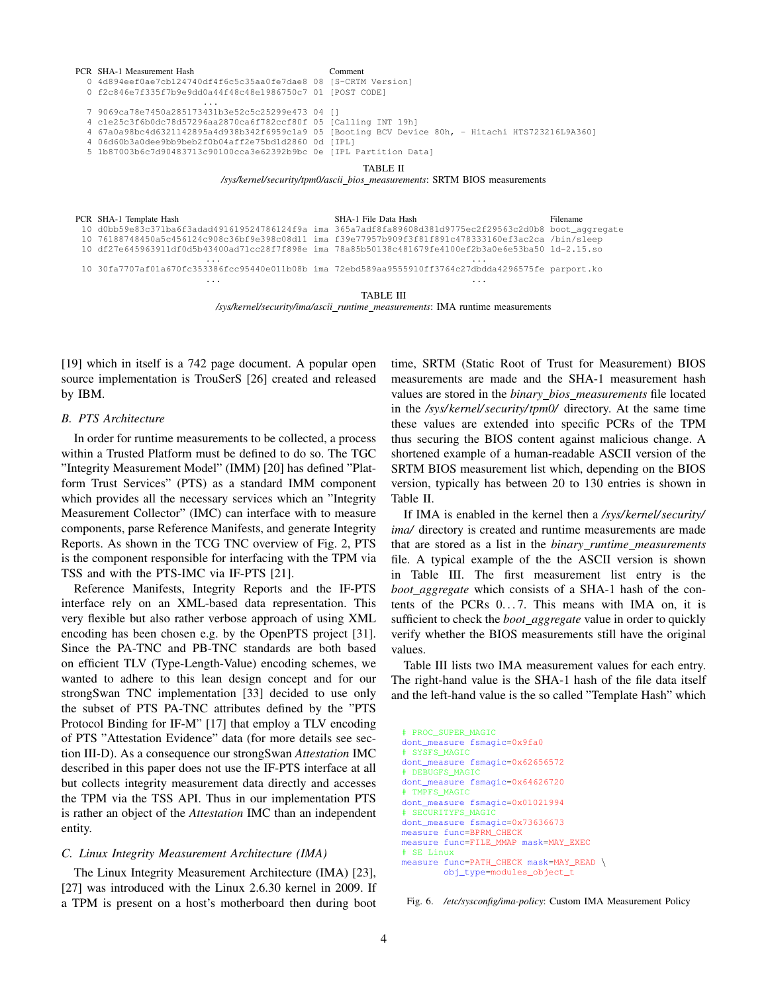| PCR SHA-1 Measurement Hash                                         | Comment                                                                                           |
|--------------------------------------------------------------------|---------------------------------------------------------------------------------------------------|
| 0 4d894eef0ae7cb124740df4f6c5c35aa0fe7dae8 08 [S-CRTM Version]     |                                                                                                   |
| 0 f2c846e7f335f7b9e9dd0a44f48c48e1986750c7 01 [POST CODE]          |                                                                                                   |
| .                                                                  |                                                                                                   |
| 7 9069ca78e7450a285173431b3e52c5c25299e473 04 []                   |                                                                                                   |
| 4 cle25c3f6b0dc78d57296aa2870ca6f782ccf80f 05 [Calling INT 19h]    |                                                                                                   |
|                                                                    | 4 67a0a98bc4d6321142895a4d938b342f6959c1a9 05 [Booting BCV Device 80h, - Hitachi HTS723216L9A360] |
| 4 06d60b3a0dee9bb9beb2f0b04aff2e75bd1d2860 0d [IPL]                |                                                                                                   |
| 5 1b87003b6c7d90483713c90100cca3e62392b9bc 0e [IPL Partition Data] |                                                                                                   |
|                                                                    |                                                                                                   |

TABLE II

*/sys/kernel/security/tpm0/ascii bios measurements*: SRTM BIOS measurements

| PCR SHA-1 Template Hash                                                                                  | SHA-1 File Data Hash | Filename |
|----------------------------------------------------------------------------------------------------------|----------------------|----------|
| 10 d0bb59e83c371ba6f3adad491619524786124f9a ima 365a7adf8fa89608d381d9775ec2f29563c2d0b8 boot_aqqreqate  |                      |          |
| 10 76188748450a5c456124c908c36bf9e398c08d11 ima f39e77957b909f3f81f891c478333160ef3ac2ca /bin/sleep      |                      |          |
| 10 df27e645963911df0d5b43400ad71cc28f7f898e ima 78a85b50138c481679fe4100ef2b3a0e6e53ba50 ld-2.15.so      |                      |          |
| .<br>10 30fa7707af01a670fc353386fcc95440e011b08b ima 72ebd589aa9555910ff3764c27dbdda4296575fe parport.ko | .                    |          |
|                                                                                                          |                      |          |

TABLE III

*/sys/kernel/security/ima/ascii runtime measurements*: IMA runtime measurements

[19] which in itself is a 742 page document. A popular open source implementation is TrouSerS [26] created and released by IBM.

# *B. PTS Architecture*

In order for runtime measurements to be collected, a process within a Trusted Platform must be defined to do so. The TGC "Integrity Measurement Model" (IMM) [20] has defined "Platform Trust Services" (PTS) as a standard IMM component which provides all the necessary services which an "Integrity Measurement Collector" (IMC) can interface with to measure components, parse Reference Manifests, and generate Integrity Reports. As shown in the TCG TNC overview of Fig. 2, PTS is the component responsible for interfacing with the TPM via TSS and with the PTS-IMC via IF-PTS [21].

Reference Manifests, Integrity Reports and the IF-PTS interface rely on an XML-based data representation. This very flexible but also rather verbose approach of using XML encoding has been chosen e.g. by the OpenPTS project [31]. Since the PA-TNC and PB-TNC standards are both based on efficient TLV (Type-Length-Value) encoding schemes, we wanted to adhere to this lean design concept and for our strongSwan TNC implementation [33] decided to use only the subset of PTS PA-TNC attributes defined by the "PTS Protocol Binding for IF-M" [17] that employ a TLV encoding of PTS "Attestation Evidence" data (for more details see section III-D). As a consequence our strongSwan *Attestation* IMC described in this paper does not use the IF-PTS interface at all but collects integrity measurement data directly and accesses the TPM via the TSS API. Thus in our implementation PTS is rather an object of the *Attestation* IMC than an independent entity.

# *C. Linux Integrity Measurement Architecture (IMA)*

The Linux Integrity Measurement Architecture (IMA) [23], [27] was introduced with the Linux 2.6.30 kernel in 2009. If a TPM is present on a host's motherboard then during boot time, SRTM (Static Root of Trust for Measurement) BIOS measurements are made and the SHA-1 measurement hash values are stored in the *binary bios measurements* file located in the */sys/kernel/ security/tpm0/* directory. At the same time these values are extended into specific PCRs of the TPM thus securing the BIOS content against malicious change. A shortened example of a human-readable ASCII version of the SRTM BIOS measurement list which, depending on the BIOS version, typically has between 20 to 130 entries is shown in Table II.

If IMA is enabled in the kernel then a */sys/kernel/ security/ ima/* directory is created and runtime measurements are made that are stored as a list in the *binary runtime measurements* file. A typical example of the the ASCII version is shown in Table III. The first measurement list entry is the *boot aggregate* which consists of a SHA-1 hash of the contents of the PCRs  $0 \dots 7$ . This means with IMA on, it is sufficient to check the *boot aggregate* value in order to quickly verify whether the BIOS measurements still have the original values.

Table III lists two IMA measurement values for each entry. The right-hand value is the SHA-1 hash of the file data itself and the left-hand value is the so called "Template Hash" which

```
# PROC_SUPER_MAGIC
dont_measure fsmagic=0x9fa0
# SYSFS_MAGIC
dont measure fsmagic=0x62656572
# DEBUGFS_MAGIC
dont_measure fsmagic=0x64626720
# TMPFS_MAGIC
dont measure fsmagic=0x01021994
# SECURITYFS_MAGIC
dont_measure fsmagic=0x73636673
measure func=BPRM_CHECK
measure func=FILE_MMAP mask=MAY_EXEC
# SE Linux
measure func=PATH_CHECK mask=MAY_READ \
        obj_type=modules_object_t
```
Fig. 6. */etc/sysconfig/ima-policy*: Custom IMA Measurement Policy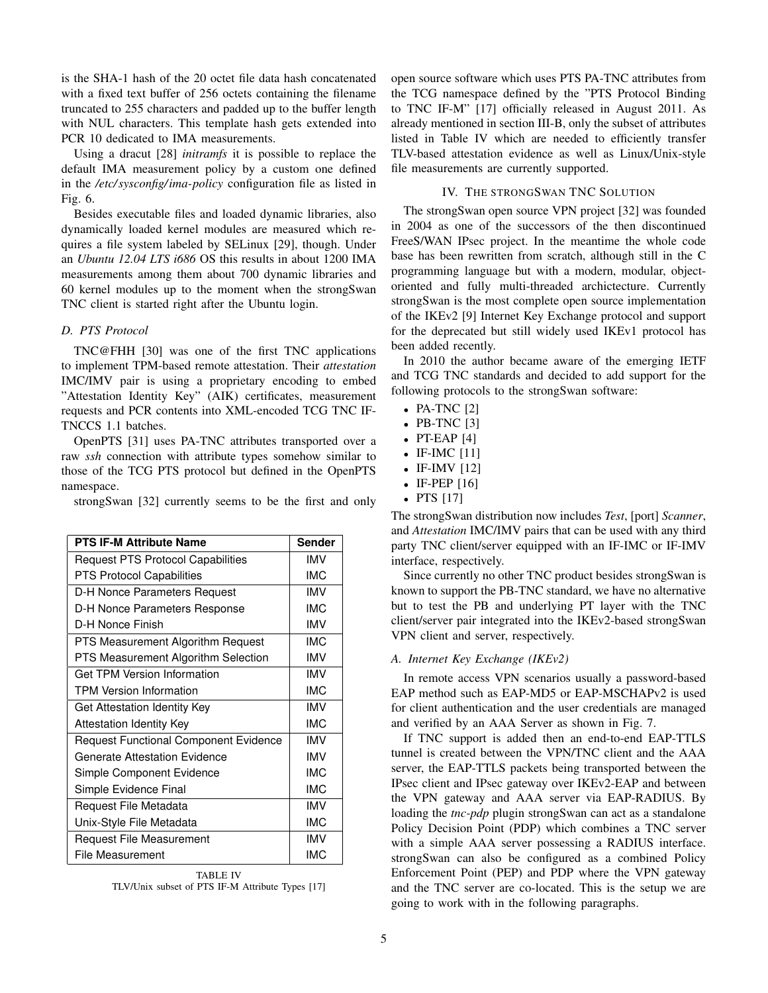is the SHA-1 hash of the 20 octet file data hash concatenated with a fixed text buffer of 256 octets containing the filename truncated to 255 characters and padded up to the buffer length with NUL characters. This template hash gets extended into PCR 10 dedicated to IMA measurements.

Using a dracut [28] *initramfs* it is possible to replace the default IMA measurement policy by a custom one defined in the */etc/ sysconfig/ima-policy* configuration file as listed in Fig. 6.

Besides executable files and loaded dynamic libraries, also dynamically loaded kernel modules are measured which requires a file system labeled by SELinux [29], though. Under an *Ubuntu 12.04 LTS i686* OS this results in about 1200 IMA measurements among them about 700 dynamic libraries and 60 kernel modules up to the moment when the strongSwan TNC client is started right after the Ubuntu login.

# *D. PTS Protocol*

TNC@FHH [30] was one of the first TNC applications to implement TPM-based remote attestation. Their *attestation* IMC/IMV pair is using a proprietary encoding to embed "Attestation Identity Key" (AIK) certificates, measurement requests and PCR contents into XML-encoded TCG TNC IF-TNCCS 1.1 batches.

OpenPTS [31] uses PA-TNC attributes transported over a raw *ssh* connection with attribute types somehow similar to those of the TCG PTS protocol but defined in the OpenPTS namespace.

strongSwan [32] currently seems to be the first and only

| <b>PTS IF-M Attribute Name</b>               | <b>Sender</b> |
|----------------------------------------------|---------------|
| Request PTS Protocol Capabilities            | IMV           |
| <b>PTS Protocol Capabilities</b>             | <b>IMC</b>    |
| D-H Nonce Parameters Request                 | <b>IMV</b>    |
| D-H Nonce Parameters Response                | <b>IMC</b>    |
| D-H Nonce Finish                             | <b>IMV</b>    |
| PTS Measurement Algorithm Request            | <b>IMC</b>    |
| PTS Measurement Algorithm Selection          | <b>IMV</b>    |
| <b>Get TPM Version Information</b>           | <b>IMV</b>    |
| <b>TPM Version Information</b>               | <b>IMC</b>    |
| Get Attestation Identity Key                 | <b>IMV</b>    |
| Attestation Identity Key                     | <b>IMC</b>    |
| <b>Request Functional Component Evidence</b> | <b>IMV</b>    |
| Generate Attestation Evidence                | <b>IMV</b>    |
| Simple Component Evidence                    | <b>IMC</b>    |
| Simple Evidence Final                        | <b>IMC</b>    |
| Request File Metadata                        | <b>IMV</b>    |
| Unix-Style File Metadata                     | <b>IMC</b>    |
| <b>Request File Measurement</b>              | <b>IMV</b>    |
| <b>File Measurement</b>                      | <b>IMC</b>    |

TABLE IV TLV/Unix subset of PTS IF-M Attribute Types [17]

open source software which uses PTS PA-TNC attributes from the TCG namespace defined by the "PTS Protocol Binding to TNC IF-M" [17] officially released in August 2011. As already mentioned in section III-B, only the subset of attributes listed in Table IV which are needed to efficiently transfer TLV-based attestation evidence as well as Linux/Unix-style file measurements are currently supported.

# IV. THE STRONGSWAN TNC SOLUTION

The strongSwan open source VPN project [32] was founded in 2004 as one of the successors of the then discontinued FreeS/WAN IPsec project. In the meantime the whole code base has been rewritten from scratch, although still in the C programming language but with a modern, modular, objectoriented and fully multi-threaded archictecture. Currently strongSwan is the most complete open source implementation of the IKEv2 [9] Internet Key Exchange protocol and support for the deprecated but still widely used IKEv1 protocol has been added recently.

In 2010 the author became aware of the emerging IETF and TCG TNC standards and decided to add support for the following protocols to the strongSwan software:

- PA-TNC  $[2]$
- PB-TNC  $[3]$
- PT-EAP  $[4]$
- IF-IMC [11]
- IF-IMV [12]
- IF-PEP [16]
- PTS [17]

The strongSwan distribution now includes *Test*, [port] *Scanner*, and *Attestation* IMC/IMV pairs that can be used with any third party TNC client/server equipped with an IF-IMC or IF-IMV interface, respectively.

Since currently no other TNC product besides strongSwan is known to support the PB-TNC standard, we have no alternative but to test the PB and underlying PT layer with the TNC client/server pair integrated into the IKEv2-based strongSwan VPN client and server, respectively.

### *A. Internet Key Exchange (IKEv2)*

In remote access VPN scenarios usually a password-based EAP method such as EAP-MD5 or EAP-MSCHAPv2 is used for client authentication and the user credentials are managed and verified by an AAA Server as shown in Fig. 7.

If TNC support is added then an end-to-end EAP-TTLS tunnel is created between the VPN/TNC client and the AAA server, the EAP-TTLS packets being transported between the IPsec client and IPsec gateway over IKEv2-EAP and between the VPN gateway and AAA server via EAP-RADIUS. By loading the *tnc-pdp* plugin strongSwan can act as a standalone Policy Decision Point (PDP) which combines a TNC server with a simple AAA server possessing a RADIUS interface. strongSwan can also be configured as a combined Policy Enforcement Point (PEP) and PDP where the VPN gateway and the TNC server are co-located. This is the setup we are going to work with in the following paragraphs.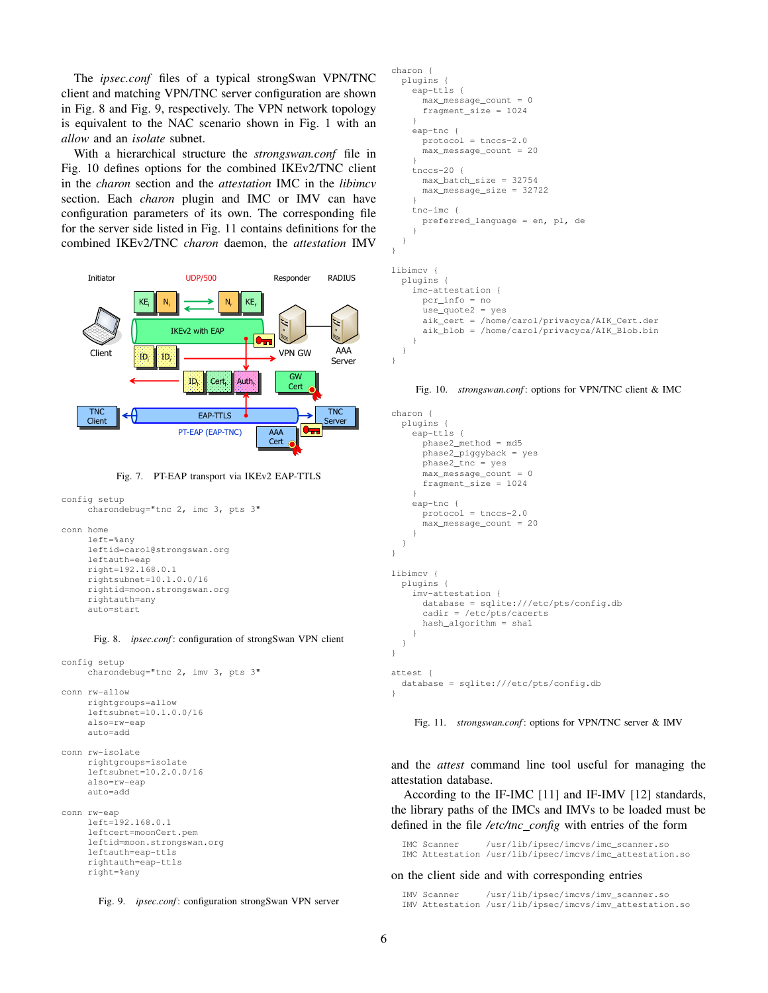The *ipsec.conf* files of a typical strongSwan VPN/TNC client and matching VPN/TNC server configuration are shown in Fig. 8 and Fig. 9, respectively. The VPN network topology is equivalent to the NAC scenario shown in Fig. 1 with an *allow* and an *isolate* subnet.

With a hierarchical structure the *strongswan.conf* file in Fig. 10 defines options for the combined IKEv2/TNC client in the *charon* section and the *attestation* IMC in the *libimcv* section. Each *charon* plugin and IMC or IMV can have configuration parameters of its own. The corresponding file for the server side listed in Fig. 11 contains definitions for the combined IKEv2/TNC *charon* daemon, the *attestation* IMV



Fig. 7. PT-EAP transport via IKEv2 EAP-TTLS

```
config setup
     charondebug="tnc 2, imc 3, pts 3"
conn home
     left=%any
     leftid=carol@strongswan.org
     leftauth=eap
     right=192.168.0.1
     rightsubnet=10.1.0.0/16
     rightid=moon.strongswan.org
     rightauth=any
     auto=start
```
Fig. 8. *ipsec.conf*: configuration of strongSwan VPN client

```
config setup
     charondebug="tnc 2, imv 3, pts 3"
conn rw-allow
     rightgroups=allow
     leftsubnet=10.1.0.0/16
     also=rw-eap
     auto=add
```
conn rw-isolate rightgroups=isolate leftsubnet=10.2.0.0/16 also=rw-eap auto=add

```
conn rw-eap
    left=192.168.0.1
    leftcert=moonCert.pem
    leftid=moon.strongswan.org
    leftauth=eap-ttls
    rightauth=eap-ttls
    right=%any
```


```
charon {
  plugins {
    eap-ttls {
      max_message_count = 0
      fragment size = 1024}
    eap-tnc {
      protocol = tnccs-2.0
      max_message_count = 20
    }
    tnccs-20 \ellmax_batch_size = 32754
      max_message_size = 32722
    }
    tnc-imc {
      preferred_language = en, pl, de
    }
  }
}
libimcv {
  plugins {
    imc-attestation {
      pcr_info = no
      use_quote2 = yes
      aik_cert = /home/carol/privacyca/AIK_Cert.der
      aik_blob = /home/carol/privacyca/AIK_Blob.bin
    }
  }
}
```
Fig. 10. *strongswan.conf*: options for VPN/TNC client & IMC

```
charon {
 plugins {
   eap-ttls {
      phase2_method = md5
      phase2_piggyback = yes
      phase2_tnc = yes
      max_message_count = 0
      fragment_size = 1024
    }
    eap-tnc {
      protocol = tnccs-2.0
      max_message_count = 20
    }
  }
}
libimcv {
  plugins {
   imv-attestation {
      database = sqlite:///etc/pts/config.db
      cadir = /etc/pts/cacerts
      hash_algorithm = sha1
    }
  }
}
attest {
  database = sqlite:///etc/pts/config.db
}
```
Fig. 11. *strongswan.conf*: options for VPN/TNC server & IMV

and the *attest* command line tool useful for managing the attestation database.

According to the IF-IMC [11] and IF-IMV [12] standards, the library paths of the IMCs and IMVs to be loaded must be defined in the file */etc/tnc config* with entries of the form

IMC Scanner /usr/lib/ipsec/imcvs/imc\_scanner.so IMC Attestation /usr/lib/ipsec/imcvs/imc\_attestation.so

### on the client side and with corresponding entries

IMV Scanner /usr/lib/ipsec/imcvs/imv\_scanner.so IMV Attestation /usr/lib/ipsec/imcvs/imv\_attestation.so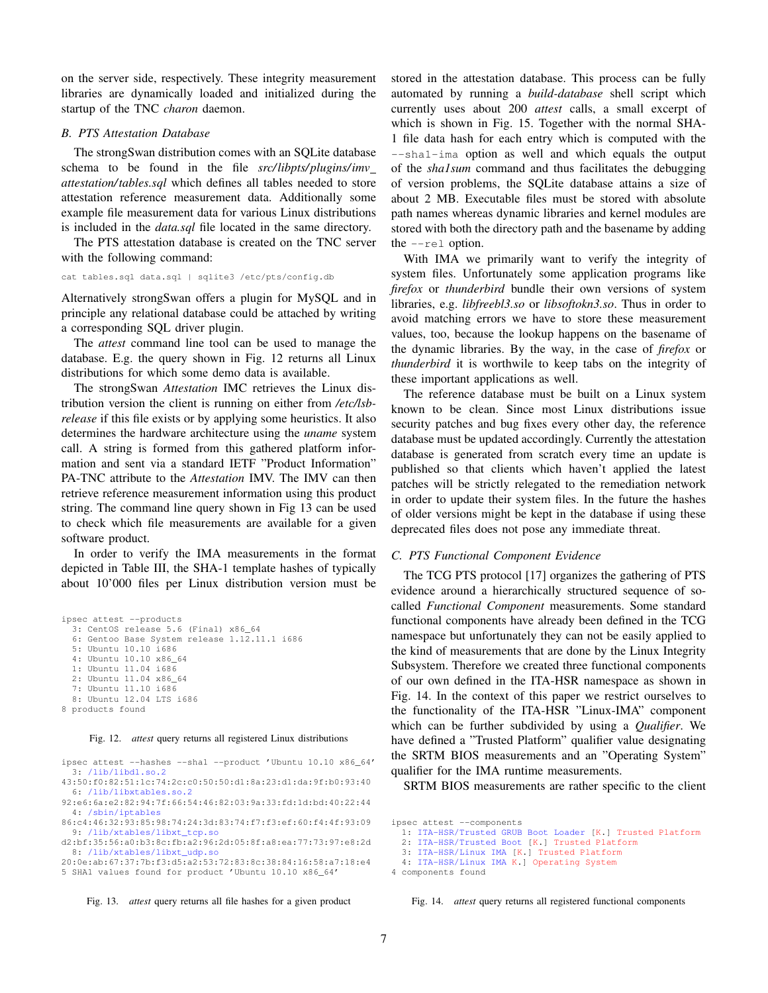on the server side, respectively. These integrity measurement libraries are dynamically loaded and initialized during the startup of the TNC *charon* daemon.

## *B. PTS Attestation Database*

The strongSwan distribution comes with an SQLite database schema to be found in the file *src/libpts/ plugins/imv attestation/tables.sql* which defines all tables needed to store attestation reference measurement data. Additionally some example file measurement data for various Linux distributions is included in the *data.sql* file located in the same directory.

The PTS attestation database is created on the TNC server with the following command:

cat tables.sql data.sql | sqlite3 /etc/pts/config.db

Alternatively strongSwan offers a plugin for MySQL and in principle any relational database could be attached by writing a corresponding SQL driver plugin.

The *attest* command line tool can be used to manage the database. E.g. the query shown in Fig. 12 returns all Linux distributions for which some demo data is available.

The strongSwan *Attestation* IMC retrieves the Linux distribution version the client is running on either from */etc/lsbrelease* if this file exists or by applying some heuristics. It also determines the hardware architecture using the *uname* system call. A string is formed from this gathered platform information and sent via a standard IETF "Product Information" PA-TNC attribute to the *Attestation* IMV. The IMV can then retrieve reference measurement information using this product string. The command line query shown in Fig 13 can be used to check which file measurements are available for a given software product.

In order to verify the IMA measurements in the format depicted in Table III, the SHA-1 template hashes of typically about 10'000 files per Linux distribution version must be

```
ipsec attest --products
  3: CentOS release 5.6 (Final) x86_64
  6: Gentoo Base System release 1.12.11.1 i686
  5: Ubuntu 10.10 i686
  4: Ubuntu 10.10 x86_64
  1: Ubuntu 11.04 i686
  2: Ubuntu 11.04 x86_64
  7: Ubuntu 11.10 i686
  8: Ubuntu 12.04 LTS i686
8 products found
```
Fig. 12. *attest* query returns all registered Linux distributions

```
ipsec attest --hashes --sha1 --product 'Ubuntu 10.10 x86_64'
  3: /lib/libdl.so.2
43:50:f0:82:51:1c:74:2c:c0:50:50:d1:8a:23:d1:da:9f:b0:93:40
  6: /lib/libxtables.so.2
92:e6:6a:e2:82:94:7f:66:54:46:82:03:9a:33:fd:1d:bd:40:22:44
  4: /sbin/iptables
86:c4:46:32:93:85:98:74:24:3d:83:74:f7:f3:ef:60:f4:4f:93:09
  9: /lib/xtables/libxt_tcp.so
d2:bf:35:56:a0:b3:8c:fb:a2:96:2d:05:8f:a8:ea:77:73:97:e8:2d
  8: /lib/xtables/libxt_udp.so
20:0e:ab:67:37:7b:f3:d5:a2:53:72:83:8c:38:84:16:58:a7:18:e4
5 SHA1 values found for product 'Ubuntu 10.10 x86_64'
```
Fig. 13. *attest* query returns all file hashes for a given product

stored in the attestation database. This process can be fully automated by running a *build-database* shell script which currently uses about 200 *attest* calls, a small excerpt of which is shown in Fig. 15. Together with the normal SHA-1 file data hash for each entry which is computed with the --sha1-ima option as well and which equals the output of the *sha1sum* command and thus facilitates the debugging of version problems, the SQLite database attains a size of about 2 MB. Executable files must be stored with absolute path names whereas dynamic libraries and kernel modules are stored with both the directory path and the basename by adding the  $--rel$  option.

With IMA we primarily want to verify the integrity of system files. Unfortunately some application programs like *firefox* or *thunderbird* bundle their own versions of system libraries, e.g. *libfreebl3.so* or *libsoftokn3.so*. Thus in order to avoid matching errors we have to store these measurement values, too, because the lookup happens on the basename of the dynamic libraries. By the way, in the case of *firefox* or *thunderbird* it is worthwile to keep tabs on the integrity of these important applications as well.

The reference database must be built on a Linux system known to be clean. Since most Linux distributions issue security patches and bug fixes every other day, the reference database must be updated accordingly. Currently the attestation database is generated from scratch every time an update is published so that clients which haven't applied the latest patches will be strictly relegated to the remediation network in order to update their system files. In the future the hashes of older versions might be kept in the database if using these deprecated files does not pose any immediate threat.

#### *C. PTS Functional Component Evidence*

The TCG PTS protocol [17] organizes the gathering of PTS evidence around a hierarchically structured sequence of socalled *Functional Component* measurements. Some standard functional components have already been defined in the TCG namespace but unfortunately they can not be easily applied to the kind of measurements that are done by the Linux Integrity Subsystem. Therefore we created three functional components of our own defined in the ITA-HSR namespace as shown in Fig. 14. In the context of this paper we restrict ourselves to the functionality of the ITA-HSR "Linux-IMA" component which can be further subdivided by using a *Qualifier*. We have defined a "Trusted Platform" qualifier value designating the SRTM BIOS measurements and an "Operating System" qualifier for the IMA runtime measurements.

SRTM BIOS measurements are rather specific to the client

```
ipsec attest --components
```
- 2: ITA-HSR/Trusted Boot [K.] Trusted Platform
- 3: ITA-HSR/Linux IMA [K.] Trusted Platform

```
4: ITA-HSR/Linux IMA K.] Operating System
```
4 components found

Fig. 14. *attest* query returns all registered functional components

<sup>1:</sup> ITA-HSR/Trusted GRUB Boot Loader [K.] Trusted Platform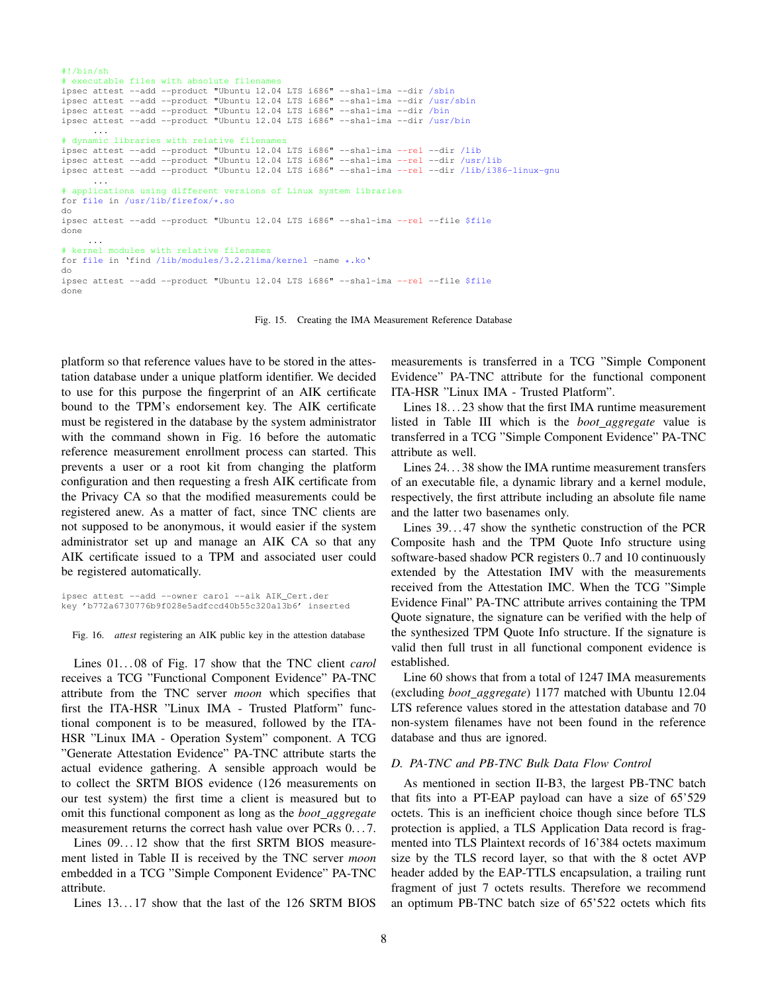```
#!/bin/sh
# executable files with absolute filenames
ipsec attest --add --product "Ubuntu 12.04 LTS i686" --sha1-ima --dir /sbin
ipsec attest --add --product "Ubuntu 12.04 LTS i686" --sha1-ima --dir /usr/sbin
ipsec attest --add --product "Ubuntu 12.04 LTS i686" --sha1-ima --dir /bin
ipsec attest --add --product "Ubuntu 12.04 LTS i686" --sha1-ima --dir /usr/bin
      ...
# dynamic libraries with relative filenames
ipsec attest --add --product "Ubuntu 12.04 LTS i686" --sha1-ima --rel --dir /lib
ipsec attest --add --product "Ubuntu 12.04 LTS i686" --sha1-ima --rel --dir /usr/lib
ipsec attest --add --product "Ubuntu 12.04 LTS i686" --sha1-ima --rel --dir /lib/i386-linux-gnu
      ...
# applications using different versions of Linux system libraries
for file in /usr/lib/firefox/*.so
do
ipsec attest --add --product "Ubuntu 12.04 LTS i686" --sha1-ima --rel --file $file
done
     ...
# kernel modules with relative filenames
for file in 'find /lib/modules/3.2.21ima/kernel -name *.ko'
do
ipsec attest --add --product "Ubuntu 12.04 LTS i686" --sha1-ima --rel --file $file
done
```
Fig. 15. Creating the IMA Measurement Reference Database

platform so that reference values have to be stored in the attestation database under a unique platform identifier. We decided to use for this purpose the fingerprint of an AIK certificate bound to the TPM's endorsement key. The AIK certificate must be registered in the database by the system administrator with the command shown in Fig. 16 before the automatic reference measurement enrollment process can started. This prevents a user or a root kit from changing the platform configuration and then requesting a fresh AIK certificate from the Privacy CA so that the modified measurements could be registered anew. As a matter of fact, since TNC clients are not supposed to be anonymous, it would easier if the system administrator set up and manage an AIK CA so that any AIK certificate issued to a TPM and associated user could be registered automatically.

ipsec attest --add --owner carol --aik AIK\_Cert.der key 'b772a6730776b9f028e5adfccd40b55c320a13b6' inserted

Fig. 16. *attest* registering an AIK public key in the attestion database

Lines  $01...08$  of Fig. 17 show that the TNC client *carol* receives a TCG "Functional Component Evidence" PA-TNC attribute from the TNC server *moon* which specifies that first the ITA-HSR "Linux IMA - Trusted Platform" functional component is to be measured, followed by the ITA-HSR "Linux IMA - Operation System" component. A TCG "Generate Attestation Evidence" PA-TNC attribute starts the actual evidence gathering. A sensible approach would be to collect the SRTM BIOS evidence (126 measurements on our test system) the first time a client is measured but to omit this functional component as long as the *boot aggregate* measurement returns the correct hash value over PCRs  $0...7$ .

Lines  $09...12$  show that the first SRTM BIOS measurement listed in Table II is received by the TNC server *moon* embedded in a TCG "Simple Component Evidence" PA-TNC attribute.

Lines 13...17 show that the last of the 126 SRTM BIOS

measurements is transferred in a TCG "Simple Component Evidence" PA-TNC attribute for the functional component ITA-HSR "Linux IMA - Trusted Platform".

Lines 18...23 show that the first IMA runtime measurement listed in Table III which is the *boot aggregate* value is transferred in a TCG "Simple Component Evidence" PA-TNC attribute as well.

Lines 24. . . 38 show the IMA runtime measurement transfers of an executable file, a dynamic library and a kernel module, respectively, the first attribute including an absolute file name and the latter two basenames only.

Lines 39. . . 47 show the synthetic construction of the PCR Composite hash and the TPM Quote Info structure using software-based shadow PCR registers 0..7 and 10 continuously extended by the Attestation IMV with the measurements received from the Attestation IMC. When the TCG "Simple Evidence Final" PA-TNC attribute arrives containing the TPM Quote signature, the signature can be verified with the help of the synthesized TPM Quote Info structure. If the signature is valid then full trust in all functional component evidence is established.

Line 60 shows that from a total of 1247 IMA measurements (excluding *boot aggregate*) 1177 matched with Ubuntu 12.04 LTS reference values stored in the attestation database and 70 non-system filenames have not been found in the reference database and thus are ignored.

## *D. PA-TNC and PB-TNC Bulk Data Flow Control*

As mentioned in section II-B3, the largest PB-TNC batch that fits into a PT-EAP payload can have a size of 65'529 octets. This is an inefficient choice though since before TLS protection is applied, a TLS Application Data record is fragmented into TLS Plaintext records of 16'384 octets maximum size by the TLS record layer, so that with the 8 octet AVP header added by the EAP-TTLS encapsulation, a trailing runt fragment of just 7 octets results. Therefore we recommend an optimum PB-TNC batch size of 65'522 octets which fits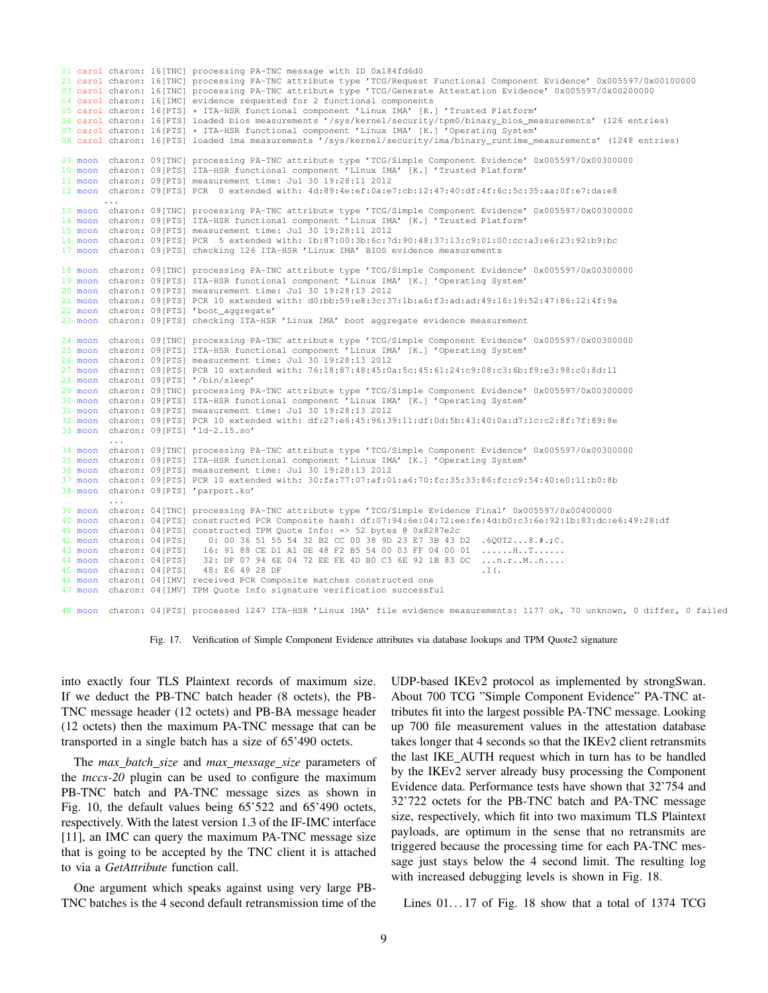```
01 carol charon: 16[TNC] processing PA-TNC message with ID 0x184fd6d0
21 carol charon: 16[TNC] processing PA-TNC attribute type 'TCG/Request Functional Component Evidence' 0x005597/0x00100000<br>03 carol charon: 16[TNC] processing PA-TNC attribute type 'TCG/Generate Attestation Evidence' 0x0055
04 carol charon: 16[IMC] evidence requested for 2 functional components
05 carol charon: 16[PTS] * ITA-HSR functional component 'Linux IMA' [K.] 'Trusted Platform'
06 carol charon: 16[PTS] loaded bios measurements '/sys/kernel/security/tpm0/binary_bios_measurements' (126 entries)
07 carol charon: 16[PTS] * ITA-HSR functional component 'Linux IMA' [K.] 'Operating System'
08 carol charon: 16[PTS] loaded ima measurements '/sys/kernel/security/ima/binary_runtime_measurements' (1248 entries)
09 moon charon: 09[TNC] processing PA-TNC attribute type 'TCG/Simple Component Evidence' 0x005597/0x00300000
10 moon charon: 09[PTS] ITA-HSR functional component 'Linux IMA' [K.] 'Trusted Platform'
11 moon charon: 09[PTS] measurement time: Jul 30 19:28:11 2012
12 moon charon: 09[PTS] PCR 0 extended with: 4d:89:4e:ef:0a:e7:cb:12:47:40:df:4f:6c:5c:35:aa:0f:e7:da:e8
         ...
13 moon charon: 09[TNC] processing PA-TNC attribute type 'TCG/Simple Component Evidence' 0x005597/0x00300000
14 moon charon: 09[PTS] ITA-HSR functional component 'Linux IMA' [K.] 'Trusted Platform'
15 moon charon: 09[PTS] measurement time: Jul 30 19:28:11 2012
16 moon charon: 09[PTS] PCR 5 extended with: 1b:87:00:3b:6c:7d:90:48:37:13:c9:01:00:cc:a3:e6:23:92:b9:bc
17 moon charon: 09[PTS] checking 126 ITA-HSR 'Linux IMA' BIOS evidence measurements
18 moon charon: 09[TNC] processing PA-TNC attribute type 'TCG/Simple Component Evidence' 0x005597/0x00300000<br>19 moon charon: 09[PTS] TTA-HSR functional component 'Linux IMA' [K.] 'Operating System'
         charon: 09[PTS] ITA-HSR functional component 'Linux IMA' [K.] 'Operating System'
20 moon charon: 09[PTS] measurement time: Jul 30 19:28:13 2012
21 moon charon: 09[PTS] PCR 10 extended with: d0:bb:59:e8:3c:37:1b:a6:f3:ad:ad:49:16:19:52:47:86:12:4f:9a
22 moon charon: 09[PTS] 'boot_aggregate'
23 moon charon: 09[PTS] checking ITA-HSR 'Linux IMA' boot aggregate evidence measurement
24 moon charon: 09[TNC] processing PA-TNC attribute type 'TCG/Simple Component Evidence' 0x005597/0x00300000
25 moon charon: 09[PTS] ITA-HSR functional component 'Linux IMA' [K.] 'Operating System'
26 moon charon: 09[PTS] measurement time: Jul 30 19:28:13 2012
                          27 moon charon: 09[PTS] PCR 10 extended with: 76:18:87:48:45:0a:5c:45:61:24:c9:08:c3:6b:f9:e3:98:c0:8d:11
28 moon charon: 09[PTS] '/bin/sleep'
         29 moon charon: 09[TNC] processing PA-TNC attribute type 'TCG/Simple Component Evidence' 0x005597/0x00300000
30 moon charon: 09[PTS] ITA-HSR functional component 'Linux IMA' [K.] 'Operating System'
31 moon charon: 09[PTS] measurement time: Jul 30 19:28:13 2012
32 moon charon: 09[PTS] PCR 10 extended with: df:27:e6:45:96:39:11:df:0d:5b:43:40:0a:d7:1c:c2:8f:7f:89:8e
33 moon charon: 09[PTS] 'ld-2.15.so'
          ...
34 moon charon: 09[TNC] processing PA-TNC attribute type 'TCG/Simple Component Evidence' 0x005597/0x00300000
35 moon charon: 09[PTS] ITA-HSR functional component 'Linux IMA' [K.] 'Operating System'
36 moon charon: 09[PTS] measurement time: Jul 30 19:28:13 2012
37 moon charon: 09[PTS] PCR 10 extended with: 30:fa:77:07:af:01:a6:70:fc:35:33:86:fc:c9:54:40:e0:11:b0:8b
         charon: 09[PTS]
          ...
39 moon charon: 04[TNC] processing PA-TNC attribute type 'TCG/Simple Evidence Final' 0x005597/0x00400000
                          40 moon charon: 04[PTS] constructed PCR Composite hash: df:07:94:6e:04:72:ee:fe:4d:b0:c3:6e:92:1b:83:dc:e6:49:28:df
41 moon charon: 04[PTS] constructed TPM Quote Info: => 52 bytes @ 0x8287e2c
42 moon charon: 04[PTS] 0: 00 36 51 55 54 32 B2 CC 00 38 9D 23 E7 3B 43 D2 .6QUT2...8.#.;C.
43 moon charon: 04[PTS] 16: 91 88 CE D1 A1 0E 48 F2 B5 54 00 03 FF 04 00 01 ......H..T......
44 moon charon: 04[PTS] 32: DF 07 94 6E 04 72 EE FE 4D B0 C3 6E 92 1B 83 DC ...n.r..M..n....
45 moon charon: 04[PTS] 48: E6 49 28 DF .I(.
46 moon charon: 04[IMV] received PCR Composite matches constructed one
47 moon charon: 04[IMV] TPM Quote Info signature verification successful
48 moon charon: 04[PTS] processed 1247 ITA-HSR 'Linux IMA' file evidence measurements: 1177 ok, 70 unknown, 0 differ, 0 failed
```
Fig. 17. Verification of Simple Component Evidence attributes via database lookups and TPM Quote2 signature

into exactly four TLS Plaintext records of maximum size. If we deduct the PB-TNC batch header (8 octets), the PB-TNC message header (12 octets) and PB-BA message header (12 octets) then the maximum PA-TNC message that can be transported in a single batch has a size of 65'490 octets.

The *max batch size* and *max message size* parameters of the *tnccs-20* plugin can be used to configure the maximum PB-TNC batch and PA-TNC message sizes as shown in Fig. 10, the default values being 65'522 and 65'490 octets, respectively. With the latest version 1.3 of the IF-IMC interface [11], an IMC can query the maximum PA-TNC message size that is going to be accepted by the TNC client it is attached to via a *GetAttribute* function call.

One argument which speaks against using very large PB-TNC batches is the 4 second default retransmission time of the

UDP-based IKEv2 protocol as implemented by strongSwan. About 700 TCG "Simple Component Evidence" PA-TNC attributes fit into the largest possible PA-TNC message. Looking up 700 file measurement values in the attestation database takes longer that 4 seconds so that the IKEv2 client retransmits the last IKE AUTH request which in turn has to be handled by the IKEv2 server already busy processing the Component Evidence data. Performance tests have shown that 32'754 and 32'722 octets for the PB-TNC batch and PA-TNC message size, respectively, which fit into two maximum TLS Plaintext payloads, are optimum in the sense that no retransmits are triggered because the processing time for each PA-TNC message just stays below the 4 second limit. The resulting log with increased debugging levels is shown in Fig. 18.

Lines  $01...17$  of Fig. 18 show that a total of 1374 TCG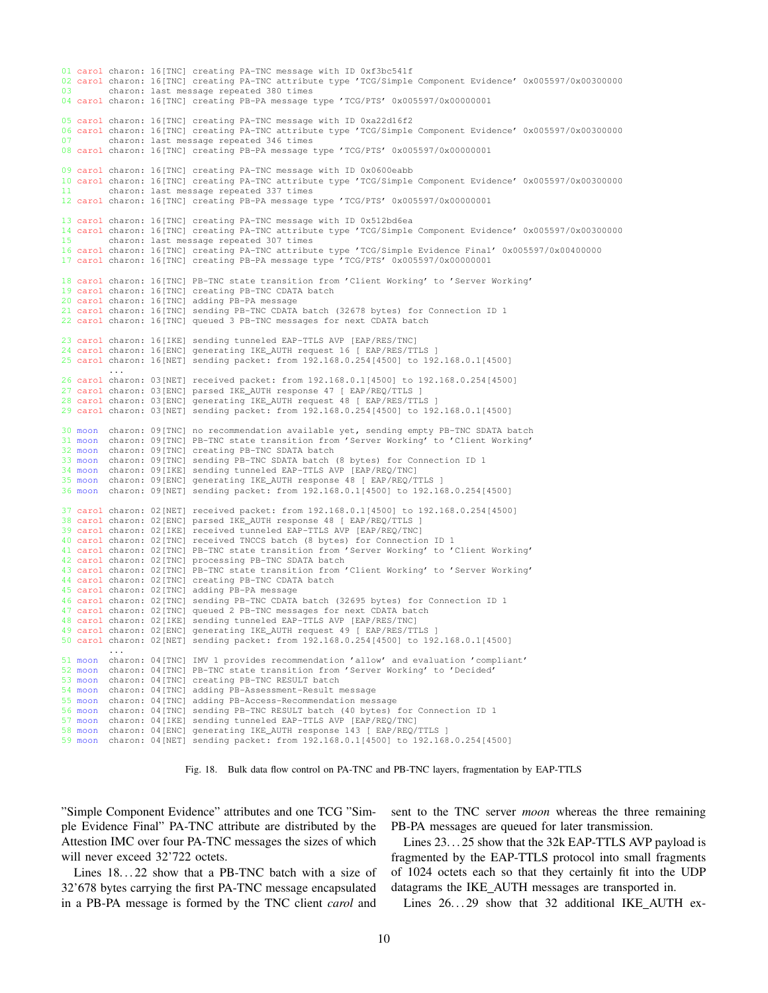```
01 carol charon: 16[TNC] creating PA-TNC message with ID 0xf3bc541f
02 carol charon: 16[TNC] creating PA-TNC attribute type 'TCG/Simple Component Evidence' 0x005597/0x00300000
03 charon: last message repeated 380 times
04 carol charon: 16[TNC] creating PB-PA message type 'TCG/PTS' 0x005597/0x00000001
05 carol charon: 16[TNC] creating PA-TNC message with ID 0xa22d16f2
06 carol charon: 16[TNC] creating PA-TNC attribute type 'TCG/Simple Component Evidence' 0x005597/0x00300000
07 charon: last message repeated 346 times
08 carol charon: 16[TNC] creating PB-PA message type 'TCG/PTS' 0x005597/0x00000001
09 carol charon: 16[TNC] creating PA-TNC message with ID 0x0600eabb
10 carol charon: 16[TNC] creating PA-TNC attribute type 'TCG/Simple Component Evidence' 0x005597/0x00300000
11 charon: last message repeated 337 times
12 carol charon: 16[TNC] creating PB-PA message type 'TCG/PTS' 0x005597/0x00000001
13 carol charon: 16[TNC] creating PA-TNC message with ID 0x512bd6ea
14 carol charon: 16[TNC] creating PA-TNC attribute type 'TCG/Simple Component Evidence' 0x005597/0x00300000
15 charon: last message repeated 307 times
16 carol charon: 16[TNC] creating PA-TNC attribute type 'TCG/Simple Evidence Final' 0x005597/0x00400000
17 carol charon: 16[TNC] creating PB-PA message type 'TCG/PTS' 0x005597/0x00000001
18 carol charon: 16[TNC] PB-TNC state transition from 'Client Working' to 'Server Working'
19 carol charon: 16[TNC] creating PB-TNC CDATA batch
20 carol charon: 16[TNC] adding PB-PA message
21 carol charon: 16[TNC] sending PB-TNC CDATA batch (32678 bytes) for Connection ID 1
22 carol charon: 16[TNC] queued 3 PB-TNC messages for next CDATA batch
23 carol charon: 16[IKE] sending tunneled EAP-TTLS AVP [EAP/RES/TNC]
24 carol charon: 16[ENC] generating IKE_AUTH request 16 [ EAP/RES/TTLS
25 carol charon: 16[NET] sending packet: from 192.168.0.254[4500] to 192.168.0.1[4500]
         ...
26 carol charon: 03[NET] received packet: from 192.168.0.1[4500] to 192.168.0.254[4500]
27 carol charon: 03[ENC] parsed IKE_AUTH response 47 [ EAP/REQ/TTLS ]
28 carol charon: 03[ENC] generating IKE_AUTH request 48 [ EAP/RES/TTLS ]
29 carol charon: 03[NET] sending packet: from 192.168.0.254[4500] to 192.168.0.1[4500]
30 moon charon: 09[TNC] no recommendation available yet, sending empty PB-TNC SDATA batch
31 moon charon: 09[TNC] PB-TNC state transition from 'Server Working' to 'Client Working'
32 moon charon: 09[TNC] creating PB-TNC SDATA batch
33 moon charon: 09[TNC] sending PB-TNC SDATA batch (8 bytes) for Connection ID 1
34 moon charon: 09[IKE] sending tunneled EAP-TTLS AVP [EAP/REQ/TNC]
35 moon charon: 09[ENC] generating IKE_AUTH response 48 [ EAP/REQ/TTLS ]
36 moon charon: 09[NET] sending packet: from 192.168.0.1[4500] to 192.168.0.254[4500]
37 carol charon: 02[NET] received packet: from 192.168.0.1[4500] to 192.168.0.254[4500]
38 carol charon: 02[ENC] parsed IKE_AUTH response 48 [ EAP/REQ/TTLS ]
39 carol charon: 02[IKE] received tunneled EAP-TTLS AVP [EAP/REQ/TNC]
40 carol charon: 02[TNC] received TNCCS batch (8 bytes) for Connection ID 1
41 carol charon: 02[TNC] PB-TNC state transition from 'Server Working' to 'Client Working'
42 carol charon: 02[TNC] processing PB-TNC SDATA batch
43 carol charon: 02[TNC] PB-TNC state transition from 'Client Working' to 'Server Working'
44 carol charon: 02[TNC] creating PB-TNC CDATA batch
45 carol charon: 02[TNC] adding PB-PA message
46 carol charon: 02[TNC] sending PB-TNC CDATA batch (32695 bytes) for Connection ID 1
47 carol charon: 02[TNC] queued 2 PB-TNC messages for next CDATA batch
48 carol charon: 02[IKE] sending tunneled EAP-TTLS AVP [EAP/RES/TNC]
49 carol charon: 02[ENC] generating IKE_AUTH request 49 [ EAP/RES/TTLS ]
50 carol charon: 02[NET] sending packet: from 192.168.0.254[4500] to 192.168.0.1[4500]
...
51 moon charon: 04[TNC] IMV 1 provides recommendation 'allow' and evaluation 'compliant'
52 moon charon: 04[TNC] PB-TNC state transition from 'Server Working' to 'Decided'
53 moon charon: 04[TNC] creating PB-TNC RESULT batch
54 moon charon: 04[TNC] adding PB-Assessment-Result message
55 moon charon: 04[TNC] adding PB-Access-Recommendation message
56 moon charon: 04[TNC] sending PB-TNC RESULT batch (40 bytes) for Connection ID 1
57 moon charon: 04[IKE] sending tunneled EAP-TTLS AVP [EAP/REQ/TNC]
58 moon charon: 04[ENC] generating IKE_AUTH response 143 [ EAP/REQ/TTLS ]
59 moon charon: 04[NET] sending packet: from 192.168.0.1[4500] to 192.168.0.254[4500]
```
Fig. 18. Bulk data flow control on PA-TNC and PB-TNC layers, fragmentation by EAP-TTLS

"Simple Component Evidence" attributes and one TCG "Simple Evidence Final" PA-TNC attribute are distributed by the Attestion IMC over four PA-TNC messages the sizes of which will never exceed 32'722 octets.

Lines  $18...22$  show that a PB-TNC batch with a size of 32'678 bytes carrying the first PA-TNC message encapsulated in a PB-PA message is formed by the TNC client *carol* and

sent to the TNC server *moon* whereas the three remaining PB-PA messages are queued for later transmission.

Lines 23. . . 25 show that the 32k EAP-TTLS AVP payload is fragmented by the EAP-TTLS protocol into small fragments of 1024 octets each so that they certainly fit into the UDP datagrams the IKE AUTH messages are transported in.

Lines 26...29 show that 32 additional IKE\_AUTH ex-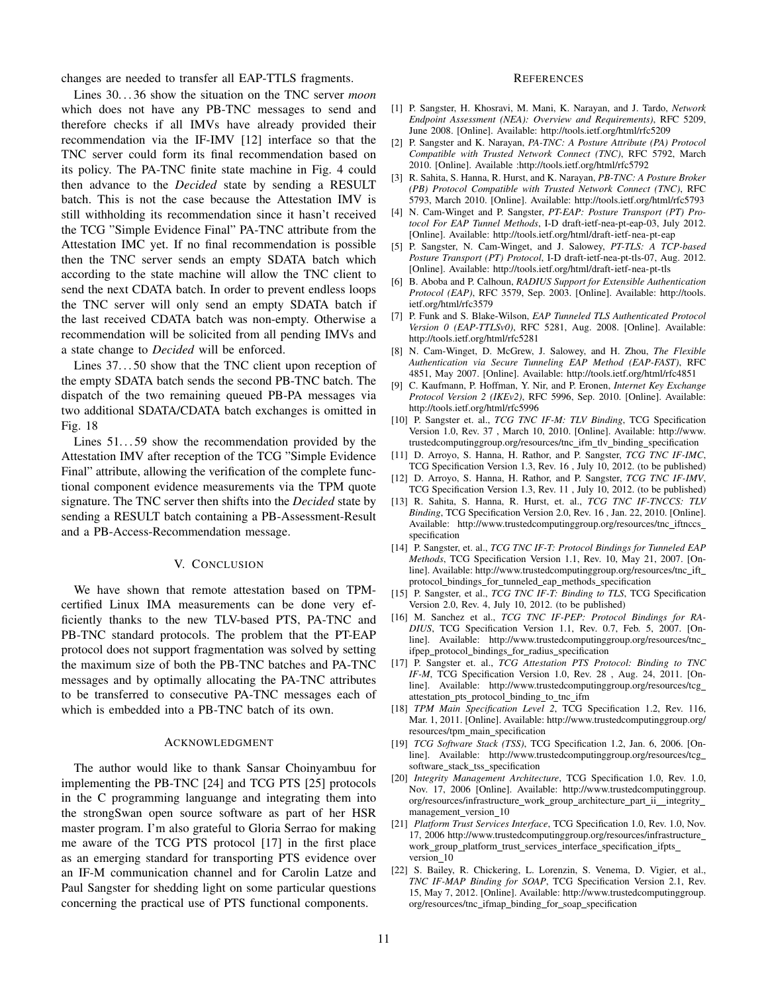changes are needed to transfer all EAP-TTLS fragments.

Lines 30. . . 36 show the situation on the TNC server *moon* which does not have any PB-TNC messages to send and therefore checks if all IMVs have already provided their recommendation via the IF-IMV [12] interface so that the TNC server could form its final recommendation based on its policy. The PA-TNC finite state machine in Fig. 4 could then advance to the *Decided* state by sending a RESULT batch. This is not the case because the Attestation IMV is still withholding its recommendation since it hasn't received the TCG "Simple Evidence Final" PA-TNC attribute from the Attestation IMC yet. If no final recommendation is possible then the TNC server sends an empty SDATA batch which according to the state machine will allow the TNC client to send the next CDATA batch. In order to prevent endless loops the TNC server will only send an empty SDATA batch if the last received CDATA batch was non-empty. Otherwise a recommendation will be solicited from all pending IMVs and a state change to *Decided* will be enforced.

Lines 37. . . 50 show that the TNC client upon reception of the empty SDATA batch sends the second PB-TNC batch. The dispatch of the two remaining queued PB-PA messages via two additional SDATA/CDATA batch exchanges is omitted in Fig. 18

Lines  $51...59$  show the recommendation provided by the Attestation IMV after reception of the TCG "Simple Evidence Final" attribute, allowing the verification of the complete functional component evidence measurements via the TPM quote signature. The TNC server then shifts into the *Decided* state by sending a RESULT batch containing a PB-Assessment-Result and a PB-Access-Recommendation message.

### V. CONCLUSION

We have shown that remote attestation based on TPMcertified Linux IMA measurements can be done very efficiently thanks to the new TLV-based PTS, PA-TNC and PB-TNC standard protocols. The problem that the PT-EAP protocol does not support fragmentation was solved by setting the maximum size of both the PB-TNC batches and PA-TNC messages and by optimally allocating the PA-TNC attributes to be transferred to consecutive PA-TNC messages each of which is embedded into a PB-TNC batch of its own.

# ACKNOWLEDGMENT

The author would like to thank Sansar Choinyambuu for implementing the PB-TNC [24] and TCG PTS [25] protocols in the C programming languange and integrating them into the strongSwan open source software as part of her HSR master program. I'm also grateful to Gloria Serrao for making me aware of the TCG PTS protocol [17] in the first place as an emerging standard for transporting PTS evidence over an IF-M communication channel and for Carolin Latze and Paul Sangster for shedding light on some particular questions concerning the practical use of PTS functional components.

#### **REFERENCES**

- [1] P. Sangster, H. Khosravi, M. Mani, K. Narayan, and J. Tardo, *Network Endpoint Assessment (NEA): Overview and Requirements)*, RFC 5209, June 2008. [Online]. Available: http://tools.ietf.org/html/rfc5209
- [2] P. Sangster and K. Narayan, *PA-TNC: A Posture Attribute (PA) Protocol Compatible with Trusted Network Connect (TNC)*, RFC 5792, March 2010. [Online]. Available :http://tools.ietf.org/html/rfc5792
- [3] R. Sahita, S. Hanna, R. Hurst, and K. Narayan, *PB-TNC: A Posture Broker (PB) Protocol Compatible with Trusted Network Connect (TNC)*, RFC 5793, March 2010. [Online]. Available: http://tools.ietf.org/html/rfc5793
- [4] N. Cam-Winget and P. Sangster, *PT-EAP: Posture Transport (PT) Protocol For EAP Tunnel Methods*, I-D draft-ietf-nea-pt-eap-03, July 2012. [Online]. Available: http://tools.ietf.org/html/draft-ietf-nea-pt-eap
- [5] P. Sangster, N. Cam-Winget, and J. Salowey, *PT-TLS: A TCP-based Posture Transport (PT) Protocol*, I-D draft-ietf-nea-pt-tls-07, Aug. 2012. [Online]. Available: http://tools.ietf.org/html/draft-ietf-nea-pt-tls
- [6] B. Aboba and P. Calhoun, *RADIUS Support for Extensible Authentication Protocol (EAP)*, RFC 3579, Sep. 2003. [Online]. Available: http://tools. ietf.org/html/rfc3579
- [7] P. Funk and S. Blake-Wilson, *EAP Tunneled TLS Authenticated Protocol Version 0 (EAP-TTLSv0)*, RFC 5281, Aug. 2008. [Online]. Available: http://tools.ietf.org/html/rfc5281
- [8] N. Cam-Winget, D. McGrew, J. Salowey, and H. Zhou, *The Flexible Authentication via Secure Tunneling EAP Method (EAP-FAST)*, RFC 4851, May 2007. [Online]. Available: http://tools.ietf.org/html/rfc4851
- [9] C. Kaufmann, P. Hoffman, Y. Nir, and P. Eronen, *Internet Key Exchange Protocol Version 2 (IKEv2)*, RFC 5996, Sep. 2010. [Online]. Available: http://tools.ietf.org/html/rfc5996
- [10] P. Sangster et. al., *TCG TNC IF-M: TLV Binding*, TCG Specification Version 1.0, Rev. 37 , March 10, 2010. [Online]. Available: http://www. trustedcomputinggroup.org/resources/tnc\_ifm\_tlv\_binding\_specification
- [11] D. Arroyo, S. Hanna, H. Rathor, and P. Sangster, *TCG TNC IF-IMC*, TCG Specification Version 1.3, Rev. 16 , July 10, 2012. (to be published)
- [12] D. Arroyo, S. Hanna, H. Rathor, and P. Sangster, *TCG TNC IF-IMV*, TCG Specification Version 1.3, Rev. 11 , July 10, 2012. (to be published)
- [13] R. Sahita, S. Hanna, R. Hurst, et. al., *TCG TNC IF-TNCCS: TLV Binding*, TCG Specification Version 2.0, Rev. 16 , Jan. 22, 2010. [Online]. Available: http://www.trustedcomputinggroup.org/resources/tnc\_iftnccs\_ specification
- [14] P. Sangster, et. al., *TCG TNC IF-T: Protocol Bindings for Tunneled EAP Methods*, TCG Specification Version 1.1, Rev. 10, May 21, 2007. [Online]. Available: http://www.trustedcomputinggroup.org/resources/tnc ift protocol\_bindings\_for\_tunneled\_eap\_methods\_specification
- [15] P. Sangster, et al., *TCG TNC IF-T: Binding to TLS*, TCG Specification Version 2.0, Rev. 4, July 10, 2012. (to be published)
- [16] M. Sanchez et al., *TCG TNC IF-PEP: Protocol Bindings for RA-DIUS*, TCG Specification Version 1.1, Rev. 0.7, Feb. 5, 2007. [Online]. Available: http://www.trustedcomputinggroup.org/resources/tnc ifpep\_protocol\_bindings\_for\_radius\_specification
- [17] P. Sangster et. al., *TCG Attestation PTS Protocol: Binding to TNC IF-M*, TCG Specification Version 1.0, Rev. 28 , Aug. 24, 2011. [Online]. Available: http://www.trustedcomputinggroup.org/resources/tcg attestation\_pts\_protocol\_binding\_to\_tnc\_ifm
- [18] *TPM Main Specification Level 2*, TCG Specification 1.2, Rev. 116, Mar. 1, 2011. [Online]. Available: http://www.trustedcomputinggroup.org/ resources/tpm\_main\_specification
- [19] *TCG Software Stack (TSS)*, TCG Specification 1.2, Jan. 6, 2006. [Online]. Available: http://www.trustedcomputinggroup.org/resources/tcg software\_stack\_tss\_specification
- [20] *Integrity Management Architecture*, TCG Specification 1.0, Rev. 1.0, Nov. 17, 2006 [Online]. Available: http://www.trustedcomputinggroup. org/resources/infrastructure\_work\_group\_architecture\_part\_ii\_integrity\_ management version 10
- [21] *Platform Trust Services Interface*, TCG Specification 1.0, Rev. 1.0, Nov. 17, 2006 http://www.trustedcomputinggroup.org/resources/infrastructure work\_group\_platform\_trust\_services\_interface\_specification\_ifpts\_ version 10
- [22] S. Bailey, R. Chickering, L. Lorenzin, S. Venema, D. Vigier, et al., *TNC IF-MAP Binding for SOAP*, TCG Specification Version 2.1, Rev. 15, May 7, 2012. [Online]. Available: http://www.trustedcomputinggroup. org/resources/tnc ifmap binding for soap specification